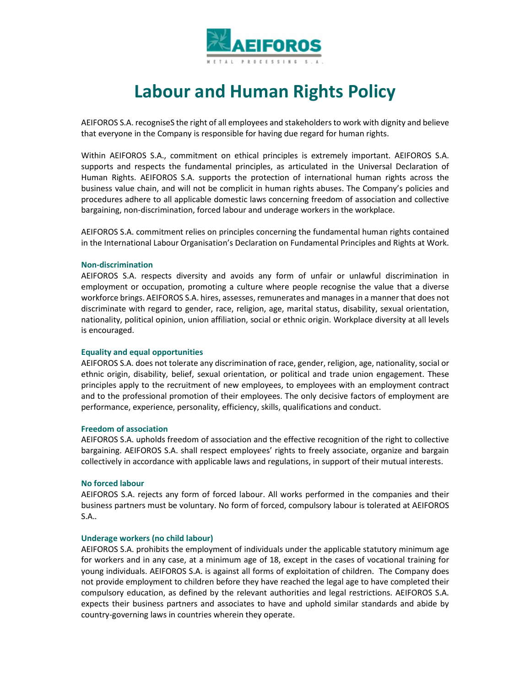

# **Labour and Human Rights Policy**

AEIFOROS S.A. recogniseS the right of all employees and stakeholders to work with dignity and believe that everyone in the Company is responsible for having due regard for human rights.

Within AEIFOROS S.A., commitment on ethical principles is extremely important. AEIFOROS S.A. supports and respects the fundamental principles, as articulated in the Universal Declaration of Human Rights. AEIFOROS S.A. supports the protection of international human rights across the business value chain, and will not be complicit in human rights abuses. The Company's policies and procedures adhere to all applicable domestic laws concerning freedom of association and collective bargaining, non-discrimination, forced labour and underage workers in the workplace.

AEIFOROS S.A. commitment relies on principles concerning the fundamental human rights contained in the International Labour Organisation's Declaration on Fundamental Principles and Rights at Work.

# **Non-discrimination**

AEIFOROS S.A. respects diversity and avoids any form of unfair or unlawful discrimination in employment or occupation, promoting a culture where people recognise the value that a diverse workforce brings. AEIFOROS S.A. hires, assesses, remunerates and manages in a manner that does not discriminate with regard to gender, race, religion, age, marital status, disability, sexual orientation, nationality, political opinion, union affiliation, social or ethnic origin. Workplace diversity at all levels is encouraged.

# **Equality and equal opportunities**

AEIFOROS S.A. does not tolerate any discrimination of race, gender, religion, age, nationality, social or ethnic origin, disability, belief, sexual orientation, or political and trade union engagement. These principles apply to the recruitment of new employees, to employees with an employment contract and to the professional promotion of their employees. The only decisive factors of employment are performance, experience, personality, efficiency, skills, qualifications and conduct.

## **Freedom of association**

AEIFOROS S.A. upholds freedom of association and the effective recognition of the right to collective bargaining. AEIFOROS S.A. shall respect employees' rights to freely associate, organize and bargain collectively in accordance with applicable laws and regulations, in support of their mutual interests.

# **No forced labour**

AEIFOROS S.A. rejects any form of forced labour. All works performed in the companies and their business partners must be voluntary. No form of forced, compulsory labour is tolerated at AEIFOROS S.A.*.* 

# **Underage workers (no child labour)**

AEIFOROS S.A. prohibits the employment of individuals under the applicable statutory minimum age for workers and in any case, at a minimum age of 18, except in the cases of vocational training for young individuals. AEIFOROS S.A. is against all forms of exploitation of children. The Company does not provide employment to children before they have reached the legal age to have completed their compulsory education, as defined by the relevant authorities and legal restrictions. AEIFOROS S.A. expects their business partners and associates to have and uphold similar standards and abide by country-governing laws in countries wherein they operate.